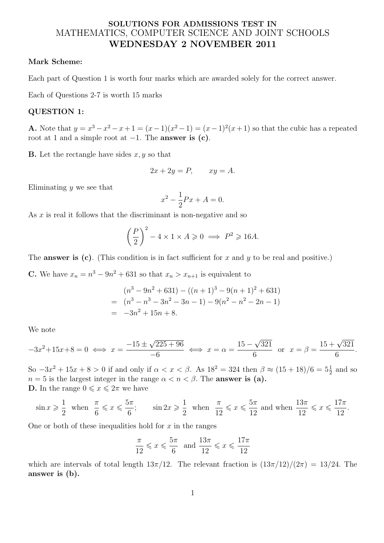# **SOLUTIONS FOR ADMISSIONS TEST IN** MATHEMATICS, COMPUTER SCIENCE AND JOINT SCHOOLS **WEDNESDAY 2 NOVEMBER 2011**

### **Mark Scheme:**

Each part of Question 1 is worth four marks which are awarded solely for the correct answer.

Each of Questions 2-7 is worth 15 marks

## **QUESTION 1:**

**A.** Note that  $y = x^3 - x^2 - x + 1 = (x - 1)(x^2 - 1) = (x - 1)^2(x + 1)$  so that the cubic has a repeated root at 1 and a simple root at *−*1. The **answer is (c)**.

**B.** Let the rectangle have sides *x, y* so that

$$
2x + 2y = P, \qquad xy = A.
$$

Eliminating *y* we see that

$$
x^2 - \frac{1}{2}Px + A = 0.
$$

As *x* is real it follows that the discriminant is non-negative and so

$$
\left(\frac{P}{2}\right)^2 - 4 \times 1 \times A \ge 0 \implies P^2 \ge 16A.
$$

The **answer is (c)**. (This condition is in fact sufficient for *x* and *y* to be real and positive.)

**C.** We have  $x_n = n^3 - 9n^2 + 631$  so that  $x_n > x_{n+1}$  is equivalent to

$$
(n3 - 9n2 + 631) - ((n + 1)3 - 9(n + 1)2 + 631)
$$
  
= 
$$
(n3 - n3 - 3n2 - 3n - 1) - 9(n2 - n2 - 2n - 1)
$$
  
= 
$$
-3n2 + 15n + 8.
$$

We note

$$
-3x^2 + 15x + 8 = 0 \iff x = \frac{-15 \pm \sqrt{225 + 96}}{-6} \iff x = \alpha = \frac{15 - \sqrt{321}}{6} \text{ or } x = \beta = \frac{15 + \sqrt{321}}{6}.
$$

So  $-3x^2 + 15x + 8 > 0$  if and only if  $\alpha < x < \beta$ . As  $18^2 = 324$  then  $\beta \approx (15 + 18)/6 = 5\frac{1}{2}$  and so  $n = 5$  is the largest integer in the range  $\alpha < n < \beta$ . The **answer is (a)**. **D.** In the range  $0 \leq x \leq 2\pi$  we have

$$
\sin x \geqslant \frac{1}{2} \text{ when } \frac{\pi}{6} \leqslant x \leqslant \frac{5\pi}{6}; \qquad \sin 2x \geqslant \frac{1}{2} \text{ when } \frac{\pi}{12} \leqslant x \leqslant \frac{5\pi}{12} \text{ and when } \frac{13\pi}{12} \leqslant x \leqslant \frac{17\pi}{12}.
$$

One or both of these inequalities hold for *x* in the ranges

$$
\frac{\pi}{12} \leqslant x \leqslant \frac{5\pi}{6} \quad \text{and} \quad \frac{13\pi}{12} \leqslant x \leqslant \frac{17\pi}{12}
$$

which are intervals of total length  $13\pi/12$ . The relevant fraction is  $(13\pi/12)/(2\pi) = 13/24$ . The **answer is (b).**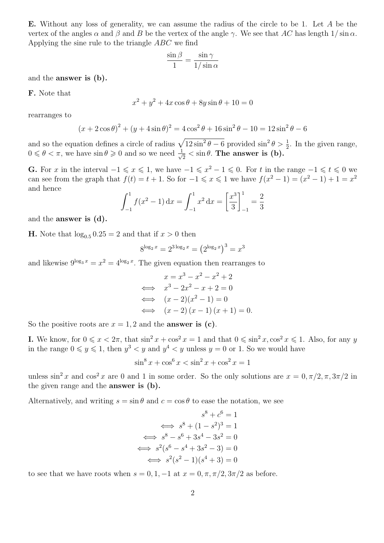**E.** Without any loss of generality, we can assume the radius of the circle to be 1. Let *A* be the vertex of the angles  $\alpha$  and  $\beta$  and  $B$  be the vertex of the angle  $\gamma$ . We see that AC has length  $1/\sin \alpha$ . Applying the sine rule to the triangle *ABC* we find

$$
\frac{\sin \beta}{1} = \frac{\sin \gamma}{1/\sin \alpha}
$$

and the **answer is (b).**

**F.** Note that

$$
x^{2} + y^{2} + 4x \cos \theta + 8y \sin \theta + 10 = 0
$$

rearranges to

$$
(x + 2\cos\theta)^2 + (y + 4\sin\theta)^2 = 4\cos^2\theta + 16\sin^2\theta - 10 = 12\sin^2\theta - 6
$$

and so the equation defines a circle of radius  $\sqrt{12 \sin^2 \theta - 6}$  provided  $\sin^2 \theta > \frac{1}{2}$ . In the given range,  $0 \leq \theta < \pi$ , we have  $\sin \theta \geqslant 0$  and so we need  $\frac{1}{\sqrt{2}}$  $\frac{1}{2} < \sin \theta$ . The answer is (b).

**G.** For *x* in the interval  $-1 \le x \le 1$ , we have  $-1 \le x^2 - 1 \le 0$ . For *t* in the range  $-1 \le t \le 0$  we can see from the graph that  $f(t) = t + 1$ . So for  $-1 \le x \le 1$  we have  $f(x^2 - 1) = (x^2 - 1) + 1 = x^2$ and hence

$$
\int_{-1}^{1} f(x^2 - 1) dx = \int_{-1}^{1} x^2 dx = \left[\frac{x^3}{3}\right]_{-1}^{1} = \frac{2}{3}
$$

and the **answer is (d).**

**H.** Note that  $\log_{0.5} 0.25 = 2$  and that if  $x > 0$  then

$$
8^{\log_2 x} = 2^{3\log_2 x} = (2^{\log_2 x})^3 = x^3
$$

and likewise  $9^{\log_3 x} = x^2 = 4^{\log_2 x}$ . The given equation then rearranges to

$$
x = x3 - x2 - x2 + 2
$$
  
\n
$$
\iff x3 - 2x2 - x + 2 = 0
$$
  
\n
$$
\iff (x - 2)(x2 - 1) = 0
$$
  
\n
$$
\iff (x - 2)(x - 1)(x + 1) = 0.
$$

So the positive roots are  $x = 1, 2$  and the **answer is (c)**.

**I.** We know, for  $0 \leq x < 2\pi$ , that  $\sin^2 x + \cos^2 x = 1$  and that  $0 \leq \sin^2 x, \cos^2 x \leq 1$ . Also, for any *y* in the range  $0 \leq y \leq 1$ , then  $y^3 < y$  and  $y^4 < y$  unless  $y = 0$  or 1. So we would have

$$
\sin^8 x + \cos^6 x < \sin^2 x + \cos^2 x = 1
$$

unless  $\sin^2 x$  and  $\cos^2 x$  are 0 and 1 in some order. So the only solutions are  $x = 0, \pi/2, \pi, 3\pi/2$  in the given range and the **answer is (b).**

Alternatively, and writing  $s = \sin \theta$  and  $c = \cos \theta$  to ease the notation, we see

$$
s^{8} + c^{6} = 1
$$
  
\n
$$
\iff s^{8} + (1 - s^{2})^{3} = 1
$$
  
\n
$$
\iff s^{8} - s^{6} + 3s^{4} - 3s^{2} = 0
$$
  
\n
$$
\iff s^{2}(s^{6} - s^{4} + 3s^{2} - 3) = 0
$$
  
\n
$$
\iff s^{2}(s^{2} - 1)(s^{4} + 3) = 0
$$

to see that we have roots when  $s = 0, 1, -1$  at  $x = 0, \pi, \pi/2, 3\pi/2$  as before.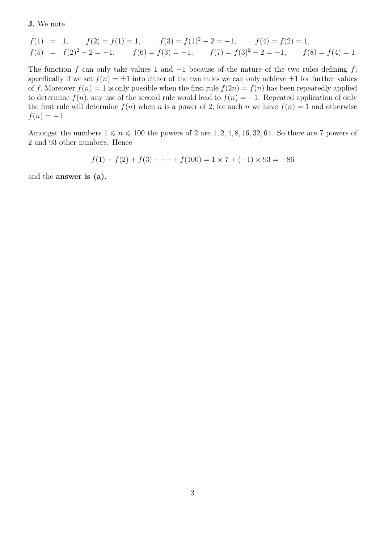**J.** We note

$$
f(1) = 1, \t f(2) = f(1) = 1, \t f(3) = f(1)^{2} - 2 = -1, \t f(4) = f(2) = 1, f(5) = f(2)^{2} - 2 = -1, \t f(6) = f(3) = -1, \t f(7) = f(3)^{2} - 2 = -1, \t f(8) = f(4) = 1.
$$

The function *f* can only take values 1 and *−*1 because of the nature of the two rules defining *f*; specifically if we set  $f(n) = \pm 1$  into either of the two rules we can only achieve  $\pm 1$  for further values of *f*. Moreover  $f(n) = 1$  is only possible when the first rule  $f(2n) = f(n)$  has been repeatedly applied to determine  $f(n)$ ; any use of the second rule would lead to  $f(n) = -1$ . Repeated application of only the first rule will determine  $f(n)$  when *n* is a power of 2; for such *n* we have  $f(n) = 1$  and otherwise  $f(n) = -1$ .

Amongst the numbers  $1 \le n \le 100$  the powers of 2 are 1, 2, 4, 8, 16, 32, 64. So there are 7 powers of 2 and 93 other numbers. Hence

$$
f(1) + f(2) + f(3) + \dots + f(100) = 1 \times 7 + (-1) \times 93 = -86
$$

and the **answer is (a).**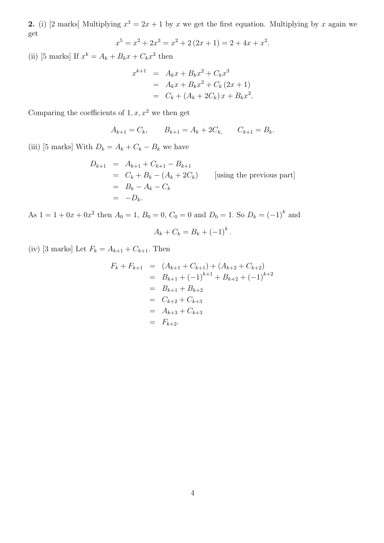**2.** (i) [2 marks] Multiplying  $x^3 = 2x + 1$  by *x* we get the first equation. Multiplying by *x* again we get

$$
x^{5} = x^{2} + 2x^{3} = x^{2} + 2(2x + 1) = 2 + 4x + x^{2}.
$$

(ii) [5 marks] If  $x^k = A_k + B_k x + C_k x^2$  then

$$
x^{k+1} = A_k x + B_k x^2 + C_k x^3
$$
  
=  $A_k x + B_k x^2 + C_k (2x + 1)$   
=  $C_k + (A_k + 2C_k) x + B_k x^2$ .

Comparing the coefficients of  $1, x, x^2$  we then get

$$
A_{k+1} = C_k, \qquad B_{k+1} = A_k + 2C_k, \qquad C_{k+1} = B_k.
$$

(iii) [5 marks] With  $D_k = A_k + C_k - B_k$  we have

$$
D_{k+1} = A_{k+1} + C_{k+1} - B_{k+1}
$$
  
=  $C_k + B_k - (A_k + 2C_k)$  [using the previous part]  
=  $B_k - A_k - C_k$   
=  $-D_k$ .

As  $1 = 1 + 0x + 0x^2$  then  $A_0 = 1$ ,  $B_0 = 0$ ,  $C_0 = 0$  and  $D_0 = 1$ . So  $D_k = (-1)^k$  and

$$
A_k + C_k = B_k + (-1)^k.
$$

(iv) [3 marks] Let  $F_k = A_{k+1} + C_{k+1}$ . Then

$$
F_k + F_{k+1} = (A_{k+1} + C_{k+1}) + (A_{k+2} + C_{k+2})
$$
  
=  $B_{k+1} + (-1)^{k+1} + B_{k+2} + (-1)^{k+2}$   
=  $B_{k+1} + B_{k+2}$   
=  $C_{k+2} + C_{k+3}$   
=  $A_{k+3} + C_{k+3}$   
=  $F_{k+2}$ .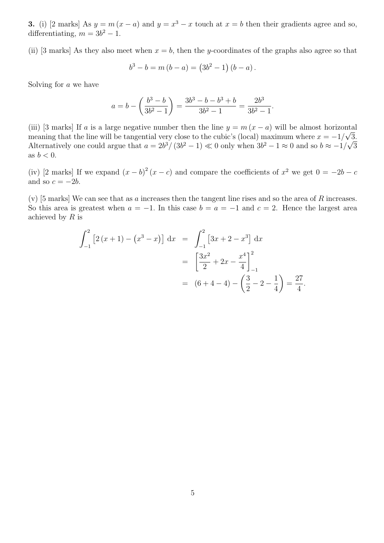**3.** (i) [2 marks] As  $y = m(x - a)$  and  $y = x^3 - x$  touch at  $x = b$  then their gradients agree and so, differentiating,  $m = 3b^2 - 1$ .

(ii) [3 marks] As they also meet when  $x = b$ , then the *y*-coordinates of the graphs also agree so that

$$
b^{3} - b = m (b - a) = (3b^{2} - 1) (b - a).
$$

Solving for *a* we have

$$
a = b - \left(\frac{b^3 - b}{3b^2 - 1}\right) = \frac{3b^3 - b - b^3 + b}{3b^2 - 1} = \frac{2b^3}{3b^2 - 1}.
$$

(iii) [3 marks] If *a* is a large negative number then the line  $y = m(x - a)$  will be almost horizontal meaning that the line will be tangential very close to the cubic's (local) maximum where  $x = -1/\sqrt{3}$ . Alternatively one could argue that  $a = 2b^3/(3b^2-1) \ll 0$  only when  $3b^2-1 \approx 0$  and so  $b \approx -1/\sqrt{3}$ as  $b < 0$ .

(iv) [2 marks] If we expand  $(x - b)^2 (x - c)$  and compare the coefficients of  $x^2$  we get  $0 = -2b - c$ and so  $c = -2b$ .

(v) [5 marks] We can see that as *a* increases then the tangent line rises and so the area of *R* increases. So this area is greatest when  $a = -1$ . In this case  $b = a = -1$  and  $c = 2$ . Hence the largest area achieved by *R* is

$$
\int_{-1}^{2} \left[ 2(x+1) - (x^3 - x) \right] dx = \int_{-1}^{2} \left[ 3x + 2 - x^3 \right] dx
$$

$$
= \left[ \frac{3x^2}{2} + 2x - \frac{x^4}{4} \right]_{-1}^{2}
$$

$$
= (6+4-4) - \left( \frac{3}{2} - 2 - \frac{1}{4} \right) = \frac{27}{4}.
$$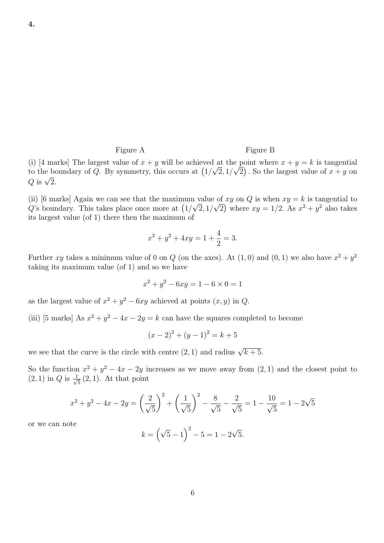#### Figure A Figure B

(i) [4 marks] The largest value of  $x + y$  will be achieved at the point where  $x + y = k$  is tangential to the boundary of *Q*. By symmetry, this occurs at  $\left(1/\sqrt{2}, 1/\sqrt{2}\right)$ . So the largest value of  $x + y$  on *<sup>Q</sup>* is *<sup>√</sup>* 2*.*

(ii) [6 marks] Again we can see that the maximum value of  $xy$  on  $Q$  is when  $xy = k$  is tangential to *Q*'s boundary. This takes place once more at  $(1/\sqrt{2}, 1/\sqrt{2})$  where  $xy = 1/2$ . As  $x^2 + y^2$  also takes its largest value (of 1) there then the maximum of

$$
x^2 + y^2 + 4xy = 1 + \frac{4}{2} = 3.
$$

Further *xy* takes a minimum value of 0 on *Q* (on the axes). At  $(1,0)$  and  $(0,1)$  we also have  $x^2 + y^2$ taking its maximum value (of 1) and so we have

$$
x^2 + y^2 - 6xy = 1 - 6 \times 0 = 1
$$

as the largest value of  $x^2 + y^2 - 6xy$  achieved at points  $(x, y)$  in *Q*.

(iii) [5 marks] As  $x^2 + y^2 - 4x - 2y = k$  can have the squares completed to become

$$
(x-2)^2 + (y-1)^2 = k+5
$$

we see that the curve is the circle with centre  $(2, 1)$  and radius  $\sqrt{k+5}$ .

So the function  $x^2 + y^2 - 4x - 2y$  increases as we move away from  $(2, 1)$  and the closest point to  $(2, 1)$  in *Q* is  $\frac{1}{1}$  $\frac{1}{5}(2,1)$ . At that point

$$
x^{2} + y^{2} - 4x - 2y = \left(\frac{2}{\sqrt{5}}\right)^{2} + \left(\frac{1}{\sqrt{5}}\right)^{2} - \frac{8}{\sqrt{5}} - \frac{2}{\sqrt{5}} = 1 - \frac{10}{\sqrt{5}} = 1 - 2\sqrt{5}
$$

or we can note

$$
k = \left(\sqrt{5} - 1\right)^2 - 5 = 1 - 2\sqrt{5}.
$$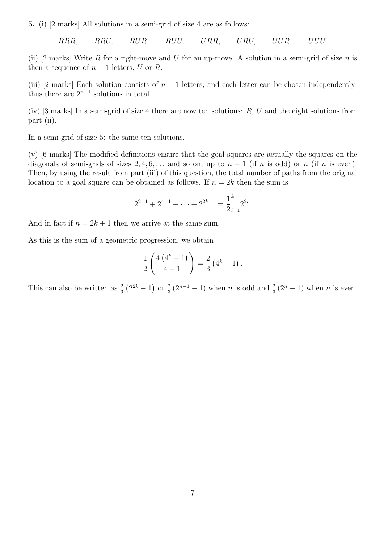**5.** (i) [2 marks] All solutions in a semi-grid of size 4 are as follows:

*RRR, RRU, RUR, RUU, URR, URU, UUR, UUU.*

(ii) [2 marks] Write *R* for a right-move and *U* for an up-move. A solution in a semi-grid of size *n* is then a sequence of  $n-1$  letters,  $U$  or  $R$ .

(iii) [2 marks] Each solution consists of  $n-1$  letters, and each letter can be chosen independently; thus there are  $2^{n-1}$  solutions in total.

(iv) [3 marks] In a semi-grid of size 4 there are now ten solutions: *R, U* and the eight solutions from part (ii).

In a semi-grid of size 5: the same ten solutions.

(v) [6 marks] The modified definitions ensure that the goal squares are actually the squares on the diagonals of semi-grids of sizes  $2, 4, 6, \ldots$  and so on, up to  $n-1$  (if *n* is odd) or *n* (if *n* is even). Then, by using the result from part (iii) of this question, the total number of paths from the original location to a goal square can be obtained as follows. If  $n = 2k$  then the sum is

$$
2^{2-1} + 2^{4-1} + \dots + 2^{2k-1} = \frac{1}{2} \cdot \frac{1}{2} 2^{2i}.
$$

And in fact if  $n = 2k + 1$  then we arrive at the same sum.

As this is the sum of a geometric progression, we obtain

$$
\frac{1}{2}\left(\frac{4(4^k-1)}{4-1}\right) = \frac{2}{3}(4^k-1).
$$

This can also be written as  $\frac{2}{3}(2^{2k}-1)$  or  $\frac{2}{3}(2^{n-1}-1)$  when *n* is odd and  $\frac{2}{3}(2^n-1)$  when *n* is even.